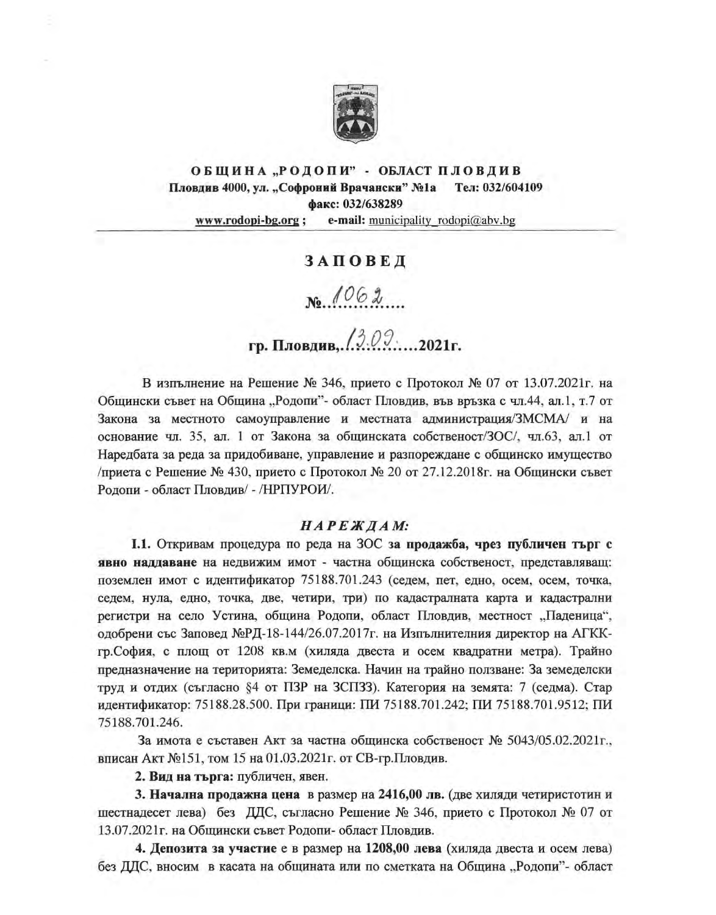

#### ОБЩИНА "РОДОПИ" - ОБЛАСТ ПЛОВДИВ Пловдив 4000, ул. "Софроний Врачански" №1а Тел: 032/604109 факс: 032/638289 e-mail: municipality rodopi@abv.bg www.rodopi-bg.org;

## ЗАПОВЕД

 $N_{0}$  1062

# гр. Пловдив, 13.09....2021г.

В изпълнение на Решение № 346, прието с Протокол № 07 от 13.07.2021г. на Общински съвет на Община "Родопи"- област Пловдив, във връзка с чл.44, ал.1, т.7 от Закона за местното самоуправление и местната администрация/ЗМСМА/ и на основание чл. 35, ал. 1 от Закона за общинската собственост/ЗОС/, чл.63, ал.1 от Наредбата за реда за придобиване, управление и разпореждане с общинско имущество /приета с Решение № 430, прието с Протокол № 20 от 27.12.2018г. на Общински съвет Родопи - област Пловдив/ - /НРПУРОИ/.

### НАРЕЖДАМ:

1.1. Откривам процедура по реда на ЗОС за продажба, чрез публичен търг с явно наддаване на недвижим имот - частна общинска собственост, представляващ: поземлен имот с идентификатор 75188.701.243 (седем, пет, едно, осем, осем, точка, седем, нула, едно, точка, две, четири, три) по кадастралната карта и кадастрални регистри на село Устина, община Родопи, област Пловдив, местност "Паденица", одобрени със Заповед №РД-18-144/26.07.2017г. на Изпълнителния директор на АГККгр. София, с площ от 1208 кв.м (хиляда двеста и осем квадратни метра). Трайно предназначение на територията: Земеделска. Начин на трайно ползване: За земеделски труд и отдих (съгласно §4 от ПЗР на ЗСПЗЗ). Категория на земята: 7 (седма). Стар идентификатор: 75188.28.500. При граници: ПИ 75188.701.242; ПИ 75188.701.9512; ПИ 75188.701.246.

За имота е съставен Акт за частна общинска собственост № 5043/05.02.2021г., вписан Акт №151, том 15 на 01.03.2021г. от СВ-гр.Пловдив.

2. Вид на търга: публичен, явен.

3. Начална продажна цена в размер на 2416,00 лв. (две хиляди четиристотин и шестнадесет лева) без ДДС, съгласно Решение № 346, прието с Протокол № 07 от 13.07.2021 г. на Общински съвет Родопи- област Пловдив.

4. Депозита за участие е в размер на 1208,00 лева (хиляда двеста и осем лева) без ДДС, вносим в касата на общината или по сметката на Община "Родопи"- област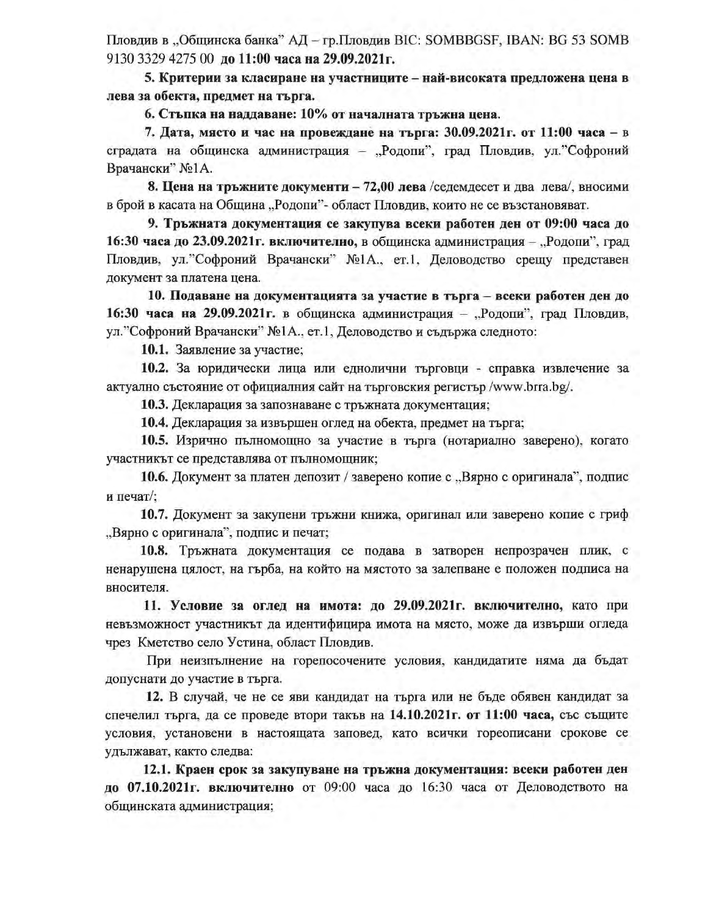Пловдив в "Общинска банка" АД - гр. Пловдив ВІС: SOMBBGSF, IBAN: ВG 53 SOMB 9130 3329 4275 00 до 11:00 часа на 29.09.2021г.

5. Критерии за класиране на участниците – най-високата предложена цена в лева за обекта, предмет на търга.

6. Стыпка на наддаване: 10% от началната тръжна цена.

7. Дата, място и час на провеждане на търга: 30.09.2021 г. от 11:00 часа – в сградата на общинска администрация - "Родопи", град Пловдив, ул. Софроний Врачански" №1А.

8. Цена на тръжните документи – 72,00 лева / седемдесет и два лева/, вносими в брой в касата на Община "Родопи"- област Пловдив, които не се възстановяват.

9. Тръжната документация се закупува всеки работен ден от 09:00 часа до 16:30 часа до 23.09.2021 г. включително, в общинска администрация - "Родопи", град Пловдив, ул. "Софроний Врачански" №1А., ет.1, Деловодство срещу представен документ за платена цена.

10. Подаване на документацията за участие в търга – всеки работен ден до 16:30 часа на 29.09.2021 г. в общинска администрация - "Родопи", град Пловдив, ул. "Софроний Врачански" №1А., ет.1, Деловодство и съдържа следното:

10.1. Заявление за участие;

10.2. За юридически лица или еднолични търговци - справка извлечение за актуално състояние от официалния сайт на търговския регистър /www.brra.bg/.

10.3. Декларация за запознаване с тръжната документация;

10.4. Декларация за извършен оглед на обекта, предмет на търга;

10.5. Изрично пълномощно за участие в търга (нотариално заверено), когато участникът се представлява от пълномощник;

10.6. Документ за платен депозит / заверено копие с "Вярно с оригинала", подпис и печат/;

10.7. Документ за закупени тръжни книжа, оригинал или заверено копие с гриф "Вярно с оригинала", подпис и печат;

10.8. Тръжната документация се подава в затворен непрозрачен плик, с ненарушена цялост, на гърба, на който на мястото за залепване е положен подписа на вносителя.

11. Условие за оглед на имота: до 29.09.2021г. включително, като при невъзможност участникът да идентифицира имота на място, може да извърши огледа чрез Кметство село Устина, област Пловдив.

При неизпълнение на горепосочените условия, кандидатите няма да бъдат допуснати до участие в търга.

12. В случай, че не се яви кандидат на търга или не бъде обявен кандидат за спечелил търга, да се проведе втори такъв на 14.10.2021 г. от 11:00 часа, със същите условия, установени в настоящата заповед, като всички гореописани срокове се удължават, както следва:

12.1. Краен срок за закупуване на тръжна документация: всеки работен ден до 07.10.2021г. включително от 09:00 часа до 16:30 часа от Деловодството на общинската администрация;